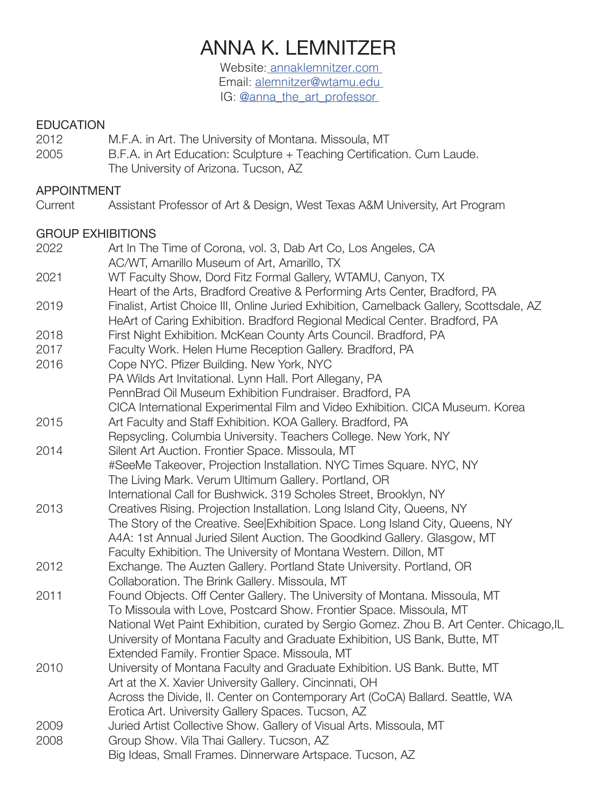# ANNA K. LEMNITZER

Website: annaklemnitzer.com Email: alemnitzer@wtamu.edu IG: @anna\_the\_art\_professor

# EDUCATION<br>2012

- M.F.A. in Art. The University of Montana. Missoula, MT
- 2005 B.F.A. in Art Education: Sculpture + Teaching Certification. Cum Laude. The University of Arizona. Tucson, AZ

#### APPOINTMENT

Current Assistant Professor of Art & Design, West Texas A&M University, Art Program

#### GROUP EXHIBITIONS

| 2022 | Art In The Time of Corona, vol. 3, Dab Art Co, Los Angeles, CA                                                                                                         |
|------|------------------------------------------------------------------------------------------------------------------------------------------------------------------------|
|      | AC/WT, Amarillo Museum of Art, Amarillo, TX                                                                                                                            |
| 2021 | WT Faculty Show, Dord Fitz Formal Gallery, WTAMU, Canyon, TX                                                                                                           |
|      | Heart of the Arts, Bradford Creative & Performing Arts Center, Bradford, PA                                                                                            |
| 2019 | Finalist, Artist Choice III, Online Juried Exhibition, Camelback Gallery, Scottsdale, AZ<br>HeArt of Caring Exhibition. Bradford Regional Medical Center. Bradford, PA |
| 2018 | First Night Exhibition. McKean County Arts Council. Bradford, PA                                                                                                       |
| 2017 | Faculty Work. Helen Hume Reception Gallery. Bradford, PA                                                                                                               |
| 2016 | Cope NYC. Pfizer Building. New York, NYC                                                                                                                               |
|      | PA Wilds Art Invitational. Lynn Hall. Port Allegany, PA                                                                                                                |
|      | PennBrad Oil Museum Exhibition Fundraiser. Bradford, PA                                                                                                                |
|      | CICA International Experimental Film and Video Exhibition. CICA Museum. Korea                                                                                          |
| 2015 | Art Faculty and Staff Exhibition. KOA Gallery. Bradford, PA                                                                                                            |
|      | Repsycling. Columbia University. Teachers College. New York, NY                                                                                                        |
| 2014 | Silent Art Auction. Frontier Space. Missoula, MT                                                                                                                       |
|      | #SeeMe Takeover, Projection Installation. NYC Times Square. NYC, NY                                                                                                    |
|      | The Living Mark. Verum Ultimum Gallery. Portland, OR                                                                                                                   |
|      | International Call for Bushwick. 319 Scholes Street, Brooklyn, NY                                                                                                      |
| 2013 | Creatives Rising. Projection Installation. Long Island City, Queens, NY                                                                                                |
|      | The Story of the Creative. See Exhibition Space. Long Island City, Queens, NY                                                                                          |
|      | A4A: 1st Annual Juried Silent Auction. The Goodkind Gallery. Glasgow, MT                                                                                               |
|      | Faculty Exhibition. The University of Montana Western. Dillon, MT                                                                                                      |
| 2012 | Exchange. The Auzten Gallery. Portland State University. Portland, OR                                                                                                  |
|      | Collaboration. The Brink Gallery. Missoula, MT                                                                                                                         |
| 2011 | Found Objects. Off Center Gallery. The University of Montana. Missoula, MT                                                                                             |
|      | To Missoula with Love, Postcard Show. Frontier Space. Missoula, MT                                                                                                     |
|      | National Wet Paint Exhibition, curated by Sergio Gomez. Zhou B. Art Center. Chicago, IL                                                                                |
|      | University of Montana Faculty and Graduate Exhibition, US Bank, Butte, MT                                                                                              |
|      | Extended Family. Frontier Space. Missoula, MT                                                                                                                          |
| 2010 | University of Montana Faculty and Graduate Exhibition. US Bank. Butte, MT                                                                                              |
|      | Art at the X. Xavier University Gallery. Cincinnati, OH                                                                                                                |
|      | Across the Divide, II. Center on Contemporary Art (CoCA) Ballard. Seattle, WA                                                                                          |
|      | Erotica Art. University Gallery Spaces. Tucson, AZ                                                                                                                     |
| 2009 | Juried Artist Collective Show. Gallery of Visual Arts. Missoula, MT                                                                                                    |
| 2008 | Group Show. Vila Thai Gallery. Tucson, AZ                                                                                                                              |
|      | Big Ideas, Small Frames. Dinnerware Artspace. Tucson, AZ                                                                                                               |
|      |                                                                                                                                                                        |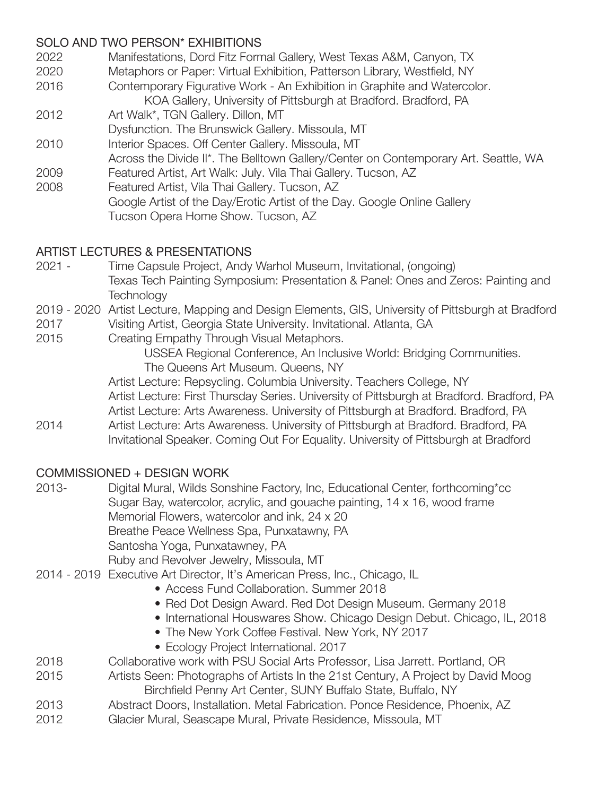#### SOLO AND TWO PERSON\* EXHIBITIONS

- 2022 Manifestations, Dord Fitz Formal Gallery, West Texas A&M, Canyon, TX
- 2020 Metaphors or Paper: Virtual Exhibition, Patterson Library, Westfield, NY
- 2016 Contemporary Figurative Work An Exhibition in Graphite and Watercolor.

 KOA Gallery, University of Pittsburgh at Bradford. Bradford, PA

- 2012 Art Walk\*, TGN Gallery. Dillon, MT
- Dysfunction. The Brunswick Gallery. Missoula, MT
- 2010 Interior Spaces. Off Center Gallery. Missoula, MT
- Across the Divide II\*. The Belltown Gallery/Center on Contemporary Art. Seattle, WA
- 2009 Featured Artist, Art Walk: July. Vila Thai Gallery. Tucson, AZ
- 2008 Featured Artist, Vila Thai Gallery. Tucson, AZ Google Artist of the Day/Erotic Artist of the Day. Google Online Gallery Tucson Opera Home Show. Tucson, AZ

## ARTIST LECTURES & PRESENTATIONS

- 2021 Time Capsule Project, Andy Warhol Museum, Invitational, (ongoing) Texas Tech Painting Symposium: Presentation & Panel: Ones and Zeros: Painting and **Technology**
- 2019 2020 Artist Lecture, Mapping and Design Elements, GIS, University of Pittsburgh at Bradford
- 2017 Visiting Artist, Georgia State University. Invitational. Atlanta, GA
- 2015 Creating Empathy Through Visual Metaphors.

 USSEA Regional Conference, An Inclusive World: Bridging Communities. The Queens Art Museum. Queens, NY

- Artist Lecture: Repsycling. Columbia University. Teachers College, NY
- Artist Lecture: First Thursday Series. University of Pittsburgh at Bradford. Bradford, PA
- Artist Lecture: Arts Awareness. University of Pittsburgh at Bradford. Bradford, PA
- 2014 Artist Lecture: Arts Awareness. University of Pittsburgh at Bradford. Bradford, PA Invitational Speaker. Coming Out For Equality. University of Pittsburgh at Bradford

## COMMISSIONED + DESIGN WORK

2013- Digital Mural, Wilds Sonshine Factory, Inc, Educational Center, forthcoming<sup>\*</sup>cc Sugar Bay, watercolor, acrylic, and gouache painting, 14 x 16, wood frame Memorial Flowers, watercolor and ink, 24 x 20 Breathe Peace Wellness Spa, Punxatawny, PA Santosha Yoga, Punxatawney, PA

 Ruby and Revolver Jewelry, Missoula, MT

- 2014 2019 Executive Art Director, It's American Press, Inc., Chicago, IL
	- Access Fund Collaboration. Summer 2018
	- Red Dot Design Award. Red Dot Design Museum. Germany 2018
	- International Houswares Show. Chicago Design Debut. Chicago, IL, 2018
	- The New York Coffee Festival. New York, NY 2017
	- Ecology Project International. 2017
- 2018 Collaborative work with PSU Social Arts Professor, Lisa Jarrett. Portland, OR
- 2015 Artists Seen: Photographs of Artists In the 21st Century, A Project by David Moog Birchfield Penny Art Center, SUNY Buffalo State, Buffalo, NY
- 2013 Abstract Doors, Installation. Metal Fabrication. Ponce Residence, Phoenix, AZ
- 2012 **Glacier Mural, Seascape Mural, Private Residence, Missoula, MT**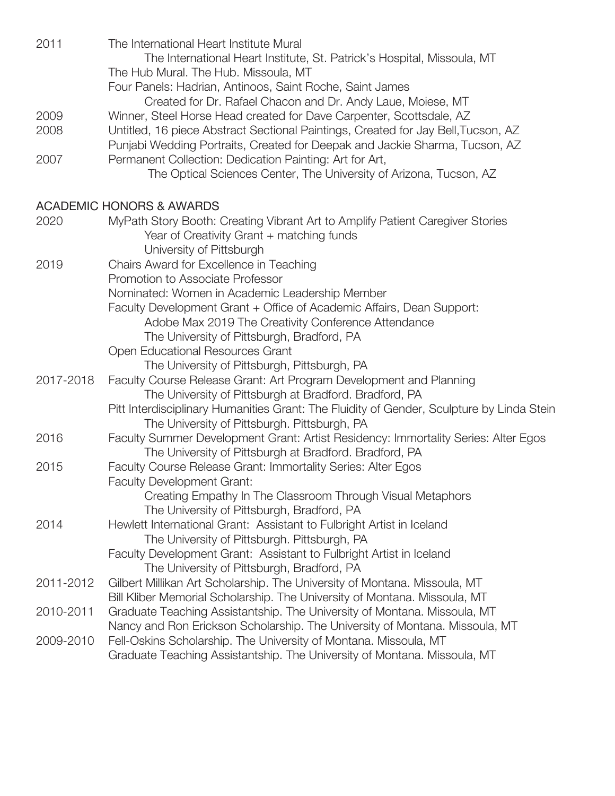| 2011      | The International Heart Institute Mural<br>The International Heart Institute, St. Patrick's Hospital, Missoula, MT           |
|-----------|------------------------------------------------------------------------------------------------------------------------------|
|           | The Hub Mural. The Hub. Missoula, MT<br>Four Panels: Hadrian, Antinoos, Saint Roche, Saint James                             |
|           | Created for Dr. Rafael Chacon and Dr. Andy Laue, Moiese, MT                                                                  |
| 2009      | Winner, Steel Horse Head created for Dave Carpenter, Scottsdale, AZ                                                          |
| 2008      | Untitled, 16 piece Abstract Sectional Paintings, Created for Jay Bell, Tucson, AZ                                            |
|           | Punjabi Wedding Portraits, Created for Deepak and Jackie Sharma, Tucson, AZ                                                  |
| 2007      | Permanent Collection: Dedication Painting: Art for Art,                                                                      |
|           | The Optical Sciences Center, The University of Arizona, Tucson, AZ                                                           |
|           | <b>ACADEMIC HONORS &amp; AWARDS</b>                                                                                          |
| 2020      | MyPath Story Booth: Creating Vibrant Art to Amplify Patient Caregiver Stories                                                |
|           | Year of Creativity Grant + matching funds                                                                                    |
|           | University of Pittsburgh                                                                                                     |
| 2019      | Chairs Award for Excellence in Teaching                                                                                      |
|           | Promotion to Associate Professor                                                                                             |
|           | Nominated: Women in Academic Leadership Member                                                                               |
|           | Faculty Development Grant + Office of Academic Affairs, Dean Support:                                                        |
|           | Adobe Max 2019 The Creativity Conference Attendance                                                                          |
|           | The University of Pittsburgh, Bradford, PA                                                                                   |
|           | Open Educational Resources Grant                                                                                             |
|           | The University of Pittsburgh, Pittsburgh, PA                                                                                 |
| 2017-2018 | Faculty Course Release Grant: Art Program Development and Planning<br>The University of Pittsburgh at Bradford. Bradford, PA |
|           | Pitt Interdisciplinary Humanities Grant: The Fluidity of Gender, Sculpture by Linda Stein                                    |
|           | The University of Pittsburgh. Pittsburgh, PA                                                                                 |
| 2016      | Faculty Summer Development Grant: Artist Residency: Immortality Series: Alter Egos                                           |
|           | The University of Pittsburgh at Bradford. Bradford, PA                                                                       |
| 2015      | Faculty Course Release Grant: Immortality Series: Alter Egos                                                                 |
|           | <b>Faculty Development Grant:</b>                                                                                            |
|           | Creating Empathy In The Classroom Through Visual Metaphors                                                                   |
|           | The University of Pittsburgh, Bradford, PA                                                                                   |
| 2014      | Hewlett International Grant: Assistant to Fulbright Artist in Iceland                                                        |
|           | The University of Pittsburgh. Pittsburgh, PA                                                                                 |
|           | Faculty Development Grant: Assistant to Fulbright Artist in Iceland                                                          |
|           | The University of Pittsburgh, Bradford, PA                                                                                   |
| 2011-2012 | Gilbert Millikan Art Scholarship. The University of Montana. Missoula, MT                                                    |
|           | Bill Kliber Memorial Scholarship. The University of Montana. Missoula, MT                                                    |
| 2010-2011 | Graduate Teaching Assistantship. The University of Montana. Missoula, MT                                                     |
|           | Nancy and Ron Erickson Scholarship. The University of Montana. Missoula, MT                                                  |
| 2009-2010 | Fell-Oskins Scholarship. The University of Montana. Missoula, MT                                                             |
|           | Graduate Teaching Assistantship. The University of Montana. Missoula, MT                                                     |